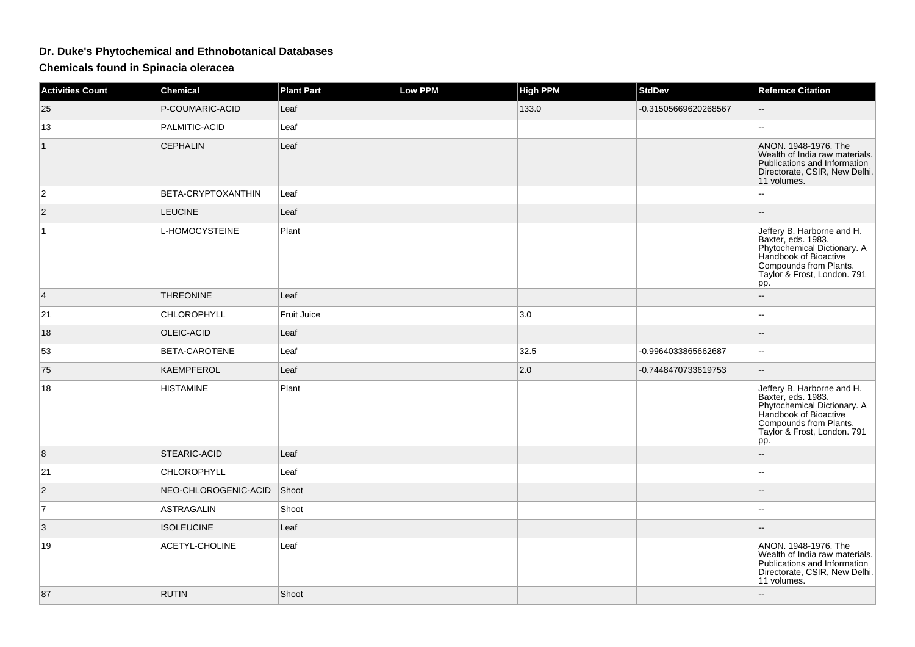## **Dr. Duke's Phytochemical and Ethnobotanical Databases**

**Chemicals found in Spinacia oleracea**

| <b>Activities Count</b> | <b>Chemical</b>           | <b>Plant Part</b> | Low PPM | <b>High PPM</b> | <b>StdDev</b>        | <b>Refernce Citation</b>                                                                                                                                                  |
|-------------------------|---------------------------|-------------------|---------|-----------------|----------------------|---------------------------------------------------------------------------------------------------------------------------------------------------------------------------|
| 25                      | P-COUMARIC-ACID           | Leaf              |         | 133.0           | -0.31505669620268567 |                                                                                                                                                                           |
| 13                      | PALMITIC-ACID             | Leaf              |         |                 |                      | --                                                                                                                                                                        |
| $\mathbf{1}$            | <b>CEPHALIN</b>           | Leaf              |         |                 |                      | ANON. 1948-1976. The<br>Wealth of India raw materials.<br>Publications and Information<br>Directorate, CSIR, New Delhi.<br>11 volumes.                                    |
| 2                       | <b>BETA-CRYPTOXANTHIN</b> | Leaf              |         |                 |                      |                                                                                                                                                                           |
| $\overline{2}$          | <b>LEUCINE</b>            | Leaf              |         |                 |                      | --                                                                                                                                                                        |
| $\mathbf{1}$            | L-HOMOCYSTEINE            | Plant             |         |                 |                      | Jeffery B. Harborne and H.<br>Baxter, eds. 1983.<br>Phytochemical Dictionary. A<br>Handbook of Bioactive<br>Compounds from Plants.<br>Taylor & Frost, London. 791<br> pp. |
| $\overline{4}$          | <b>THREONINE</b>          | Leaf              |         |                 |                      | $\overline{\phantom{a}}$                                                                                                                                                  |
| 21                      | CHLOROPHYLL               | Fruit Juice       |         | 3.0             |                      | Ξ.                                                                                                                                                                        |
| 18                      | OLEIC-ACID                | Leaf              |         |                 |                      |                                                                                                                                                                           |
| 53                      | <b>BETA-CAROTENE</b>      | Leaf              |         | 32.5            | -0.9964033865662687  | $\mathbf{u}$                                                                                                                                                              |
| 75                      | KAEMPFEROL                | Leaf              |         | 2.0             | -0.7448470733619753  | $\mathbf{u}$                                                                                                                                                              |
| 18                      | <b>HISTAMINE</b>          | Plant             |         |                 |                      | Jeffery B. Harborne and H.<br>Baxter, eds. 1983.<br>Phytochemical Dictionary. A<br>Handbook of Bioactive<br>Compounds from Plants.<br>Taylor & Frost, London. 791<br>pp.  |
| 8                       | <b>STEARIC-ACID</b>       | Leaf              |         |                 |                      | $\mathbf{u}$                                                                                                                                                              |
| 21                      | CHLOROPHYLL               | Leaf              |         |                 |                      | $\mathbf{u}$                                                                                                                                                              |
| $\overline{2}$          | NEO-CHLOROGENIC-ACID      | Shoot             |         |                 |                      |                                                                                                                                                                           |
| $\overline{7}$          | <b>ASTRAGALIN</b>         | Shoot             |         |                 |                      | $\overline{a}$                                                                                                                                                            |
| 3                       | <b>ISOLEUCINE</b>         | Leaf              |         |                 |                      |                                                                                                                                                                           |
| 19                      | ACETYL-CHOLINE            | Leaf              |         |                 |                      | ANON. 1948-1976. The<br>Wealth of India raw materials.<br>Publications and Information<br>Directorate, CSIR, New Delhi.<br>11 volumes.                                    |
| 87                      | <b>RUTIN</b>              | Shoot             |         |                 |                      | $\overline{\phantom{a}}$                                                                                                                                                  |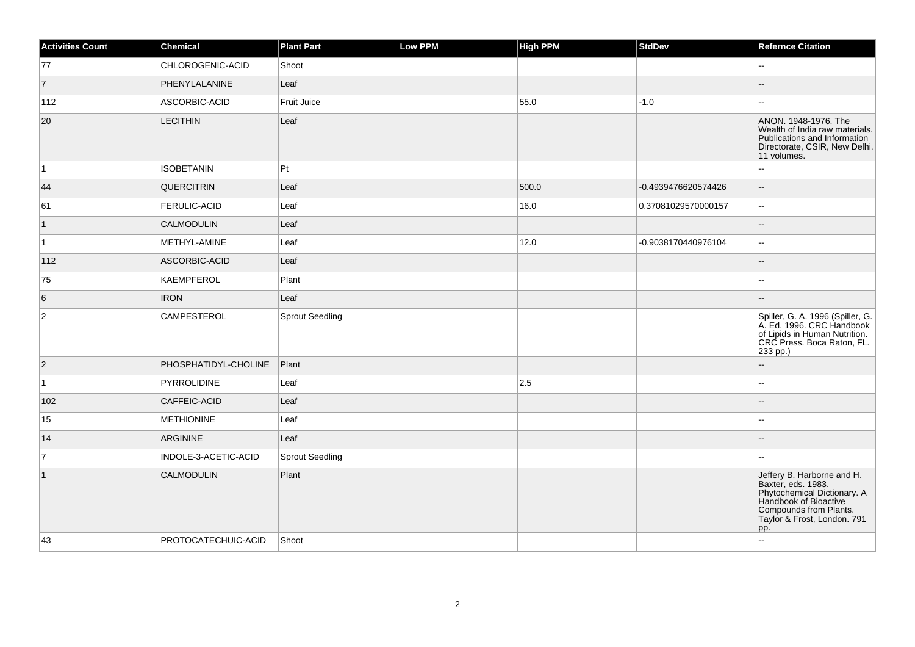| <b>Activities Count</b> | Chemical             | <b>Plant Part</b>      | <b>Low PPM</b> | <b>High PPM</b> | <b>StdDev</b>       | <b>Refernce Citation</b>                                                                                                                                                 |
|-------------------------|----------------------|------------------------|----------------|-----------------|---------------------|--------------------------------------------------------------------------------------------------------------------------------------------------------------------------|
| 77                      | CHLOROGENIC-ACID     | Shoot                  |                |                 |                     | $\mathbf{H}$                                                                                                                                                             |
| $\vert$ 7               | PHENYLALANINE        | Leaf                   |                |                 |                     |                                                                                                                                                                          |
| 112                     | ASCORBIC-ACID        | <b>Fruit Juice</b>     |                | 55.0            | $-1.0$              | $\overline{\phantom{a}}$                                                                                                                                                 |
| 20                      | <b>LECITHIN</b>      | Leaf                   |                |                 |                     | ANON. 1948-1976. The<br>Wealth of India raw materials.<br>Publications and Information<br>Directorate, CSIR, New Delhi.<br>11 volumes.                                   |
| $\vert$ 1               | <b>ISOBETANIN</b>    | Pt                     |                |                 |                     | Ξ.                                                                                                                                                                       |
| 44                      | <b>QUERCITRIN</b>    | Leaf                   |                | 500.0           | -0.4939476620574426 | $\overline{\phantom{a}}$                                                                                                                                                 |
| 61                      | <b>FERULIC-ACID</b>  | Leaf                   |                | 16.0            | 0.37081029570000157 | $\sim$                                                                                                                                                                   |
| $\overline{1}$          | <b>CALMODULIN</b>    | Leaf                   |                |                 |                     | $\sim$                                                                                                                                                                   |
| $\vert$ 1               | METHYL-AMINE         | Leaf                   |                | 12.0            | -0.9038170440976104 | $\sim$                                                                                                                                                                   |
| 112                     | ASCORBIC-ACID        | Leaf                   |                |                 |                     |                                                                                                                                                                          |
| 75                      | KAEMPFEROL           | Plant                  |                |                 |                     | $\sim$                                                                                                                                                                   |
| 6                       | <b>IRON</b>          | Leaf                   |                |                 |                     |                                                                                                                                                                          |
| $\overline{2}$          | <b>CAMPESTEROL</b>   | <b>Sprout Seedling</b> |                |                 |                     | Spiller, G. A. 1996 (Spiller, G.<br>A. Ed. 1996. CRC Handbook<br>of Lipids in Human Nutrition.<br>CRC Press. Boca Raton, FL.<br>233 pp.)                                 |
| $ 2\rangle$             | PHOSPHATIDYL-CHOLINE | Plant                  |                |                 |                     |                                                                                                                                                                          |
| $\vert$ 1               | PYRROLIDINE          | Leaf                   |                | 2.5             |                     |                                                                                                                                                                          |
| 102                     | CAFFEIC-ACID         | Leaf                   |                |                 |                     |                                                                                                                                                                          |
| 15                      | <b>METHIONINE</b>    | Leaf                   |                |                 |                     | --                                                                                                                                                                       |
| 14                      | <b>ARGININE</b>      | Leaf                   |                |                 |                     |                                                                                                                                                                          |
| $\overline{7}$          | INDOLE-3-ACETIC-ACID | <b>Sprout Seedling</b> |                |                 |                     | $\mathbf{u}$                                                                                                                                                             |
| $\overline{1}$          | <b>CALMODULIN</b>    | Plant                  |                |                 |                     | Jeffery B. Harborne and H.<br>Baxter, eds. 1983.<br>Phytochemical Dictionary. A<br>Handbook of Bioactive<br>Compounds from Plants.<br>Taylor & Frost, London. 791<br>pp. |
| 43                      | PROTOCATECHUIC-ACID  | Shoot                  |                |                 |                     | $\mathbf{u}$                                                                                                                                                             |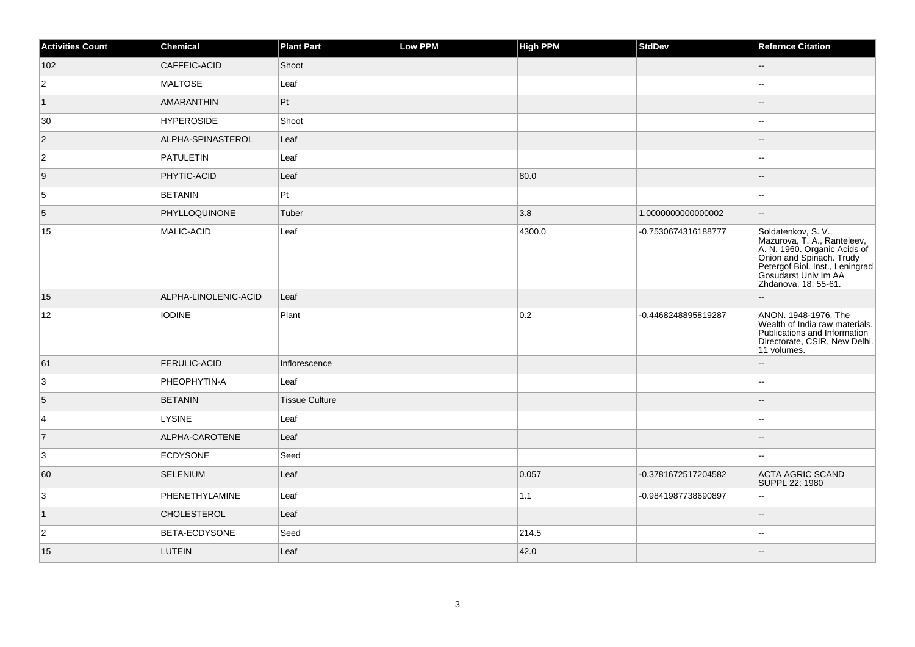| <b>Activities Count</b> | <b>Chemical</b>      | <b>Plant Part</b>     | <b>Low PPM</b> | <b>High PPM</b> | <b>StdDev</b>       | <b>Refernce Citation</b>                                                                                                                                                                          |
|-------------------------|----------------------|-----------------------|----------------|-----------------|---------------------|---------------------------------------------------------------------------------------------------------------------------------------------------------------------------------------------------|
| 102                     | CAFFEIC-ACID         | Shoot                 |                |                 |                     | $\qquad \qquad -$                                                                                                                                                                                 |
| $\overline{2}$          | <b>MALTOSE</b>       | Leaf                  |                |                 |                     | Щ,                                                                                                                                                                                                |
| $\vert$ 1               | AMARANTHIN           | Pt                    |                |                 |                     |                                                                                                                                                                                                   |
| 30                      | <b>HYPEROSIDE</b>    | Shoot                 |                |                 |                     | Щ,                                                                                                                                                                                                |
| $\vert$ 2               | ALPHA-SPINASTEROL    | Leaf                  |                |                 |                     |                                                                                                                                                                                                   |
| $\overline{2}$          | <b>PATULETIN</b>     | Leaf                  |                |                 |                     | шш.                                                                                                                                                                                               |
| 9                       | PHYTIC-ACID          | Leaf                  |                | 80.0            |                     |                                                                                                                                                                                                   |
| 5                       | <b>BETANIN</b>       | $ P_t $               |                |                 |                     | $-1$                                                                                                                                                                                              |
| 5                       | PHYLLOQUINONE        | Tuber                 |                | 3.8             | 1.000000000000002   | -−                                                                                                                                                                                                |
| 15                      | MALIC-ACID           | Leaf                  |                | 4300.0          | -0.7530674316188777 | Soldatenkov, S. V.,<br>Mazurova, T. A., Ranteleev,<br>A. N. 1960. Organic Acids of<br>Onion and Spinach. Trudy<br>Petergof Biol. Inst., Leningrad<br>Gosudarst Univ Im AA<br>Zhdanova, 18: 55-61. |
| 15                      | ALPHA-LINOLENIC-ACID | Leaf                  |                |                 |                     |                                                                                                                                                                                                   |
| 12                      | <b>IODINE</b>        | Plant                 |                | 0.2             | -0.4468248895819287 | ANON. 1948-1976. The<br>Wealth of India raw materials.<br>Publications and Information<br>Directorate, CSIR, New Delhi.<br>11 volumes.                                                            |
| 61                      | <b>FERULIC-ACID</b>  | Inflorescence         |                |                 |                     |                                                                                                                                                                                                   |
| 3                       | PHEOPHYTIN-A         | Leaf                  |                |                 |                     |                                                                                                                                                                                                   |
| 5                       | <b>BETANIN</b>       | <b>Tissue Culture</b> |                |                 |                     |                                                                                                                                                                                                   |
| 4                       | <b>LYSINE</b>        | Leaf                  |                |                 |                     | ۵.                                                                                                                                                                                                |
| $\overline{7}$          | ALPHA-CAROTENE       | Leaf                  |                |                 |                     | 4                                                                                                                                                                                                 |
| 3                       | <b>ECDYSONE</b>      | Seed                  |                |                 |                     | --                                                                                                                                                                                                |
| 60                      | <b>SELENIUM</b>      | Leaf                  |                | 0.057           | -0.3781672517204582 | <b>ACTA AGRIC SCAND</b><br>SUPPL 22: 1980                                                                                                                                                         |
| 3                       | PHENETHYLAMINE       | Leaf                  |                | 1.1             | -0.9841987738690897 | Ξ.                                                                                                                                                                                                |
| $\vert$ 1               | <b>CHOLESTEROL</b>   | Leaf                  |                |                 |                     | ш,                                                                                                                                                                                                |
| $\overline{2}$          | BETA-ECDYSONE        | Seed                  |                | 214.5           |                     | 44                                                                                                                                                                                                |
| 15                      | LUTEIN               | Leaf                  |                | 42.0            |                     |                                                                                                                                                                                                   |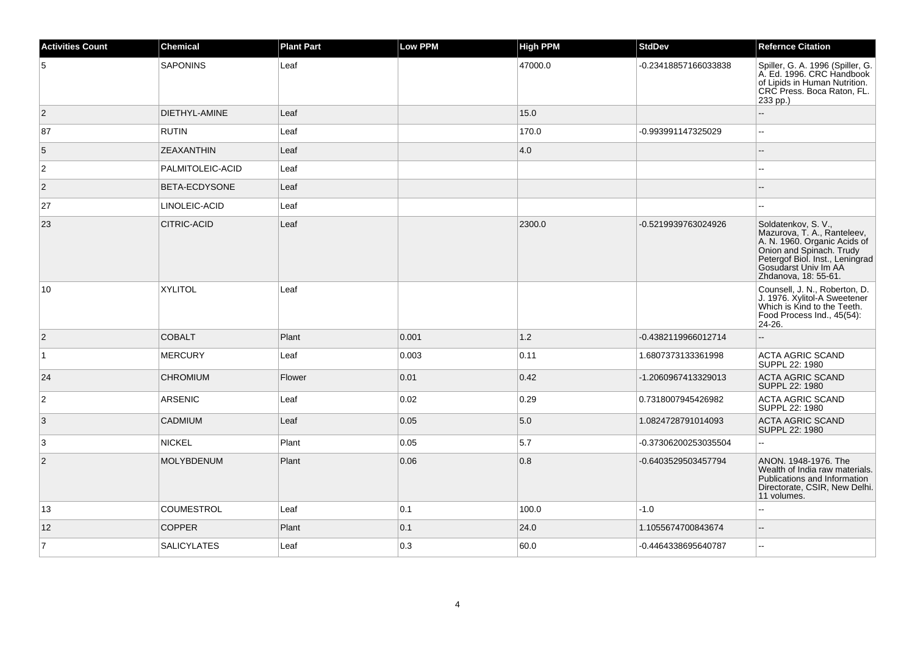| <b>Activities Count</b> | <b>Chemical</b>    | <b>Plant Part</b> | <b>Low PPM</b> | <b>High PPM</b> | <b>StdDev</b>        | <b>Refernce Citation</b>                                                                                                                                                                          |
|-------------------------|--------------------|-------------------|----------------|-----------------|----------------------|---------------------------------------------------------------------------------------------------------------------------------------------------------------------------------------------------|
| $\overline{5}$          | <b>SAPONINS</b>    | Leaf              |                | 47000.0         | -0.23418857166033838 | Spiller, G. A. 1996 (Spiller, G.<br>A. Ed. 1996. CRC Handbook<br>of Lipids in Human Nutrition.<br>CRC Press. Boca Raton, FL.<br>233 pp.)                                                          |
| $\overline{2}$          | DIETHYL-AMINE      | Leaf              |                | 15.0            |                      |                                                                                                                                                                                                   |
| 87                      | <b>RUTIN</b>       | Leaf              |                | 170.0           | -0.993991147325029   | ÷.                                                                                                                                                                                                |
| 5                       | <b>ZEAXANTHIN</b>  | Leaf              |                | 4.0             |                      |                                                                                                                                                                                                   |
| $\overline{c}$          | PALMITOLEIC-ACID   | Leaf              |                |                 |                      |                                                                                                                                                                                                   |
| $ 2\rangle$             | BETA-ECDYSONE      | Leaf              |                |                 |                      |                                                                                                                                                                                                   |
| 27                      | LINOLEIC-ACID      | Leaf              |                |                 |                      | $\sim$                                                                                                                                                                                            |
| 23                      | <b>CITRIC-ACID</b> | Leaf              |                | 2300.0          | -0.5219939763024926  | Soldatenkov, S. V.,<br>Mazurova, T. A., Ranteleev,<br>A. N. 1960. Organic Acids of<br>Onion and Spinach. Trudy<br>Petergof Biol. Inst., Leningrad<br>Gosudarst Univ Im AA<br>Zhdanova, 18: 55-61. |
| 10                      | <b>XYLITOL</b>     | Leaf              |                |                 |                      | Counsell, J. N., Roberton, D.<br>J. 1976. Xylitol-A Sweetener<br>Which is Kind to the Teeth.<br>Food Process Ind., 45(54):<br>24-26.                                                              |
| $\overline{2}$          | <b>COBALT</b>      | Plant             | 0.001          | 1.2             | -0.4382119966012714  |                                                                                                                                                                                                   |
| $\overline{1}$          | <b>MERCURY</b>     | Leaf              | 0.003          | 0.11            | 1.6807373133361998   | <b>ACTA AGRIC SCAND</b><br>SUPPL 22: 1980                                                                                                                                                         |
| 24                      | <b>CHROMIUM</b>    | Flower            | 0.01           | 0.42            | -1.2060967413329013  | <b>ACTA AGRIC SCAND</b><br>SUPPL 22: 1980                                                                                                                                                         |
| $\overline{2}$          | <b>ARSENIC</b>     | Leaf              | 0.02           | 0.29            | 0.7318007945426982   | <b>ACTA AGRIC SCAND</b><br>SUPPL 22: 1980                                                                                                                                                         |
| 3                       | <b>CADMIUM</b>     | Leaf              | 0.05           | 5.0             | 1.0824728791014093   | <b>ACTA AGRIC SCAND</b><br>SUPPL 22: 1980                                                                                                                                                         |
| 3                       | <b>NICKEL</b>      | Plant             | 0.05           | 5.7             | -0.37306200253035504 | ă.                                                                                                                                                                                                |
| $\overline{2}$          | <b>MOLYBDENUM</b>  | Plant             | 0.06           | 0.8             | -0.6403529503457794  | ANON. 1948-1976. The<br>Wealth of India raw materials.<br>Publications and Information<br>Directorate, CSIR, New Delhi.<br>11 volumes.                                                            |
| 13                      | <b>COUMESTROL</b>  | Leaf              | 0.1            | 100.0           | $-1.0$               |                                                                                                                                                                                                   |
| 12                      | <b>COPPER</b>      | Plant             | 0.1            | 24.0            | 1.1055674700843674   | $\overline{\phantom{a}}$                                                                                                                                                                          |
| $\overline{7}$          | <b>SALICYLATES</b> | Leaf              | 0.3            | 60.0            | -0.4464338695640787  | $\sim$                                                                                                                                                                                            |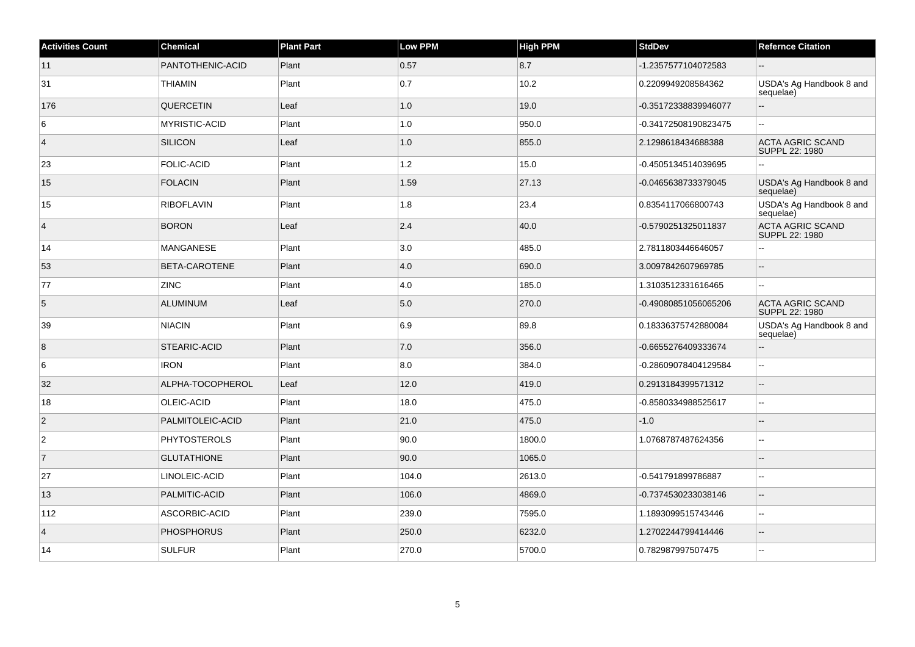| <b>Activities Count</b> | <b>Chemical</b>      | <b>Plant Part</b> | <b>Low PPM</b> | <b>High PPM</b> | <b>StdDev</b>        | <b>Refernce Citation</b>                  |
|-------------------------|----------------------|-------------------|----------------|-----------------|----------------------|-------------------------------------------|
| 11                      | PANTOTHENIC-ACID     | Plant             | 0.57           | 8.7             | -1.2357577104072583  |                                           |
| 31                      | <b>THIAMIN</b>       | Plant             | 0.7            | 10.2            | 0.2209949208584362   | USDA's Ag Handbook 8 and<br>sequelae)     |
| 176                     | <b>QUERCETIN</b>     | Leaf              | 1.0            | 19.0            | -0.35172338839946077 | $\overline{\phantom{a}}$                  |
| 6                       | <b>MYRISTIC-ACID</b> | Plant             | 1.0            | 950.0           | -0.34172508190823475 | $\sim$                                    |
| $\overline{4}$          | <b>SILICON</b>       | Leaf              | 1.0            | 855.0           | 2.1298618434688388   | <b>ACTA AGRIC SCAND</b><br>SUPPL 22: 1980 |
| 23                      | <b>FOLIC-ACID</b>    | Plant             | 1.2            | 15.0            | -0.4505134514039695  | $\sim$ $\sim$                             |
| 15                      | <b>FOLACIN</b>       | Plant             | 1.59           | 27.13           | -0.0465638733379045  | USDA's Ag Handbook 8 and<br>sequelae)     |
| 15                      | <b>RIBOFLAVIN</b>    | Plant             | 1.8            | 23.4            | 0.8354117066800743   | USDA's Ag Handbook 8 and<br>sequelae)     |
| $\overline{4}$          | <b>BORON</b>         | Leaf              | 2.4            | 40.0            | -0.5790251325011837  | <b>ACTA AGRIC SCAND</b><br>SUPPL 22: 1980 |
| 14                      | <b>MANGANESE</b>     | Plant             | 3.0            | 485.0           | 2.7811803446646057   | $\sim$ $\sim$                             |
| 53                      | <b>BETA-CAROTENE</b> | Plant             | 4.0            | 690.0           | 3.0097842607969785   | $\mathcal{L}_{\mathcal{A}}$               |
| 77                      | <b>ZINC</b>          | Plant             | 4.0            | 185.0           | 1.3103512331616465   | $\sim$                                    |
| $5\phantom{.0}$         | <b>ALUMINUM</b>      | Leaf              | 5.0            | 270.0           | -0.49080851056065206 | <b>ACTA AGRIC SCAND</b><br>SUPPL 22: 1980 |
| 39                      | <b>NIACIN</b>        | Plant             | 6.9            | 89.8            | 0.18336375742880084  | USDA's Ag Handbook 8 and<br>sequelae)     |
| 8                       | STEARIC-ACID         | Plant             | $7.0$          | 356.0           | -0.6655276409333674  | $\overline{\phantom{a}}$                  |
| 6                       | <b>IRON</b>          | Plant             | 8.0            | 384.0           | -0.28609078404129584 | $\mathbf{u}$                              |
| 32                      | ALPHA-TOCOPHEROL     | Leaf              | 12.0           | 419.0           | 0.2913184399571312   | $\overline{\phantom{a}}$                  |
| 18                      | OLEIC-ACID           | Plant             | 18.0           | 475.0           | -0.8580334988525617  | $\mathbb{L}^2$                            |
| $\overline{c}$          | PALMITOLEIC-ACID     | Plant             | 21.0           | 475.0           | $-1.0$               |                                           |
| $\overline{2}$          | <b>PHYTOSTEROLS</b>  | Plant             | 90.0           | 1800.0          | 1.0768787487624356   | $\sim$                                    |
| 7                       | <b>GLUTATHIONE</b>   | Plant             | 90.0           | 1065.0          |                      | $\sim$                                    |
| 27                      | LINOLEIC-ACID        | Plant             | 104.0          | 2613.0          | -0.541791899786887   | $\sim$                                    |
| 13                      | PALMITIC-ACID        | Plant             | 106.0          | 4869.0          | -0.7374530233038146  | $\overline{\phantom{a}}$                  |
| 112                     | ASCORBIC-ACID        | Plant             | 239.0          | 7595.0          | 1.1893099515743446   | $\sim$                                    |
| $\overline{4}$          | <b>PHOSPHORUS</b>    | Plant             | 250.0          | 6232.0          | 1.2702244799414446   | $\overline{a}$                            |
| 14                      | <b>SULFUR</b>        | Plant             | 270.0          | 5700.0          | 0.782987997507475    | $\ddotsc$                                 |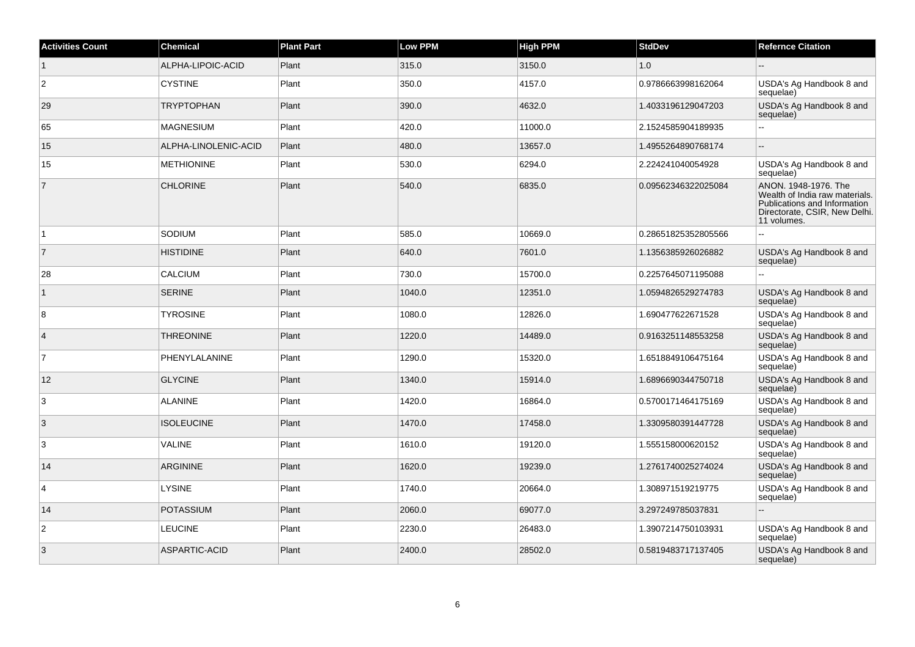| <b>Activities Count</b> | <b>Chemical</b>      | <b>Plant Part</b> | <b>Low PPM</b> | <b>High PPM</b> | <b>StdDev</b>       | <b>Refernce Citation</b>                                                                                                               |
|-------------------------|----------------------|-------------------|----------------|-----------------|---------------------|----------------------------------------------------------------------------------------------------------------------------------------|
| $\vert$ 1               | ALPHA-LIPOIC-ACID    | Plant             | 315.0          | 3150.0          | 1.0                 |                                                                                                                                        |
| $\overline{c}$          | <b>CYSTINE</b>       | Plant             | 350.0          | 4157.0          | 0.9786663998162064  | USDA's Ag Handbook 8 and<br>sequelae)                                                                                                  |
| 29                      | <b>TRYPTOPHAN</b>    | Plant             | 390.0          | 4632.0          | 1.4033196129047203  | USDA's Ag Handbook 8 and<br>sequelae)                                                                                                  |
| 65                      | <b>MAGNESIUM</b>     | Plant             | 420.0          | 11000.0         | 2.1524585904189935  |                                                                                                                                        |
| 15                      | ALPHA-LINOLENIC-ACID | Plant             | 480.0          | 13657.0         | 1.4955264890768174  |                                                                                                                                        |
| 15                      | <b>METHIONINE</b>    | Plant             | 530.0          | 6294.0          | 2.224241040054928   | USDA's Ag Handbook 8 and<br>sequelae)                                                                                                  |
| $\overline{7}$          | <b>CHLORINE</b>      | Plant             | 540.0          | 6835.0          | 0.09562346322025084 | ANON. 1948-1976. The<br>Wealth of India raw materials.<br>Publications and Information<br>Directorate, CSIR, New Delhi.<br>11 volumes. |
| $\vert$ 1               | SODIUM               | Plant             | 585.0          | 10669.0         | 0.28651825352805566 | $\sim$                                                                                                                                 |
| $\overline{7}$          | <b>HISTIDINE</b>     | Plant             | 640.0          | 7601.0          | 1.1356385926026882  | USDA's Ag Handbook 8 and<br>sequelae)                                                                                                  |
| 28                      | <b>CALCIUM</b>       | Plant             | 730.0          | 15700.0         | 0.2257645071195088  |                                                                                                                                        |
| $\vert$ 1               | <b>SERINE</b>        | Plant             | 1040.0         | 12351.0         | 1.0594826529274783  | USDA's Ag Handbook 8 and<br>sequelae)                                                                                                  |
| 8                       | <b>TYROSINE</b>      | Plant             | 1080.0         | 12826.0         | 1.690477622671528   | USDA's Ag Handbook 8 and<br>sequelae)                                                                                                  |
| $\overline{4}$          | <b>THREONINE</b>     | Plant             | 1220.0         | 14489.0         | 0.9163251148553258  | USDA's Ag Handbook 8 and<br>sequelae)                                                                                                  |
| $\overline{7}$          | PHENYLALANINE        | Plant             | 1290.0         | 15320.0         | 1.6518849106475164  | USDA's Ag Handbook 8 and<br>sequelae)                                                                                                  |
| 12                      | <b>GLYCINE</b>       | Plant             | 1340.0         | 15914.0         | 1.6896690344750718  | USDA's Ag Handbook 8 and<br>sequelae)                                                                                                  |
| 3                       | <b>ALANINE</b>       | Plant             | 1420.0         | 16864.0         | 0.5700171464175169  | USDA's Ag Handbook 8 and<br>sequelae)                                                                                                  |
| 3                       | <b>ISOLEUCINE</b>    | Plant             | 1470.0         | 17458.0         | 1.3309580391447728  | USDA's Ag Handbook 8 and<br>sequelae)                                                                                                  |
| 3                       | <b>VALINE</b>        | Plant             | 1610.0         | 19120.0         | 1.555158000620152   | USDA's Ag Handbook 8 and<br>sequelae)                                                                                                  |
| 14                      | <b>ARGININE</b>      | Plant             | 1620.0         | 19239.0         | 1.2761740025274024  | USDA's Ag Handbook 8 and<br>sequelae)                                                                                                  |
| $\overline{4}$          | <b>LYSINE</b>        | Plant             | 1740.0         | 20664.0         | 1.308971519219775   | USDA's Ag Handbook 8 and<br>sequelae)                                                                                                  |
| 14                      | <b>POTASSIUM</b>     | Plant             | 2060.0         | 69077.0         | 3.297249785037831   |                                                                                                                                        |
| $\overline{2}$          | <b>LEUCINE</b>       | Plant             | 2230.0         | 26483.0         | 1.3907214750103931  | USDA's Ag Handbook 8 and<br>sequelae)                                                                                                  |
| 3                       | ASPARTIC-ACID        | Plant             | 2400.0         | 28502.0         | 0.5819483717137405  | USDA's Ag Handbook 8 and<br>sequelae)                                                                                                  |